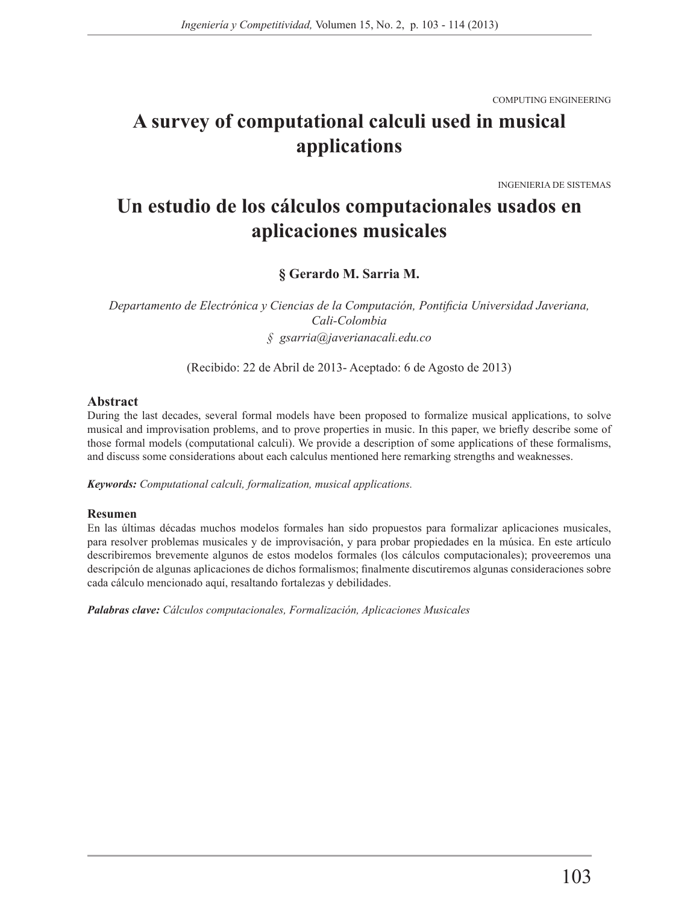COMPUTING ENGINEERING

# **A survey of computational calculi used in musical applications**

INGENIERIA DE SISTEMAS

# **Un estudio de los cálculos computacionales usados en aplicaciones musicales**

**§ Gerardo M. Sarria M.**

*Departamento de Electrónica y Ciencias de la Computación, Pontificia Universidad Javeriana, Cali-Colombia § gsarria@javerianacali.edu.co*

(Recibido: 22 de Abril de 2013- Aceptado: 6 de Agosto de 2013)

#### **Abstract**

During the last decades, several formal models have been proposed to formalize musical applications, to solve musical and improvisation problems, and to prove properties in music. In this paper, we briefly describe some of those formal models (computational calculi). We provide a description of some applications of these formalisms, and discuss some considerations about each calculus mentioned here remarking strengths and weaknesses.

*Keywords: Computational calculi, formalization, musical applications.*

#### **Resumen**

En las últimas décadas muchos modelos formales han sido propuestos para formalizar aplicaciones musicales, para resolver problemas musicales y de improvisación, y para probar propiedades en la música. En este artículo describiremos brevemente algunos de estos modelos formales (los cálculos computacionales); proveeremos una descripción de algunas aplicaciones de dichos formalismos; finalmente discutiremos algunas consideraciones sobre cada cálculo mencionado aquí, resaltando fortalezas y debilidades.

*Palabras clave: Cálculos computacionales, Formalización, Aplicaciones Musicales*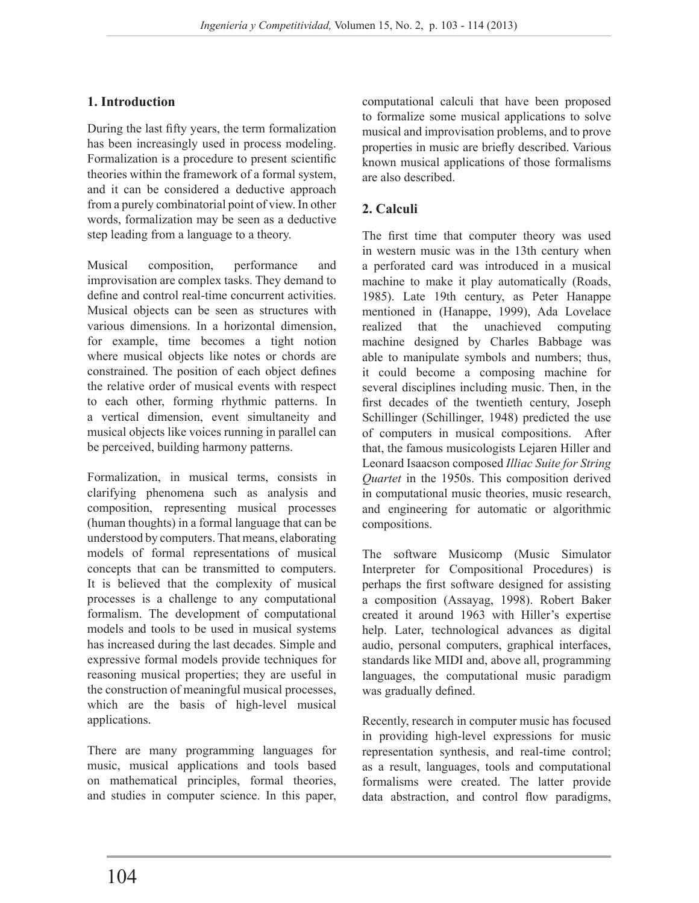# **1. Introduction**

During the last fifty years, the term formalization has been increasingly used in process modeling. Formalization is a procedure to present scientific theories within the framework of a formal system, and it can be considered a deductive approach from a purely combinatorial point of view. In other words, formalization may be seen as a deductive step leading from a language to a theory.

Musical composition, performance and improvisation are complex tasks. They demand to define and control real-time concurrent activities. Musical objects can be seen as structures with various dimensions. In a horizontal dimension, for example, time becomes a tight notion where musical objects like notes or chords are constrained. The position of each object defines the relative order of musical events with respect to each other, forming rhythmic patterns. In a vertical dimension, event simultaneity and musical objects like voices running in parallel can be perceived, building harmony patterns.

Formalization, in musical terms, consists in clarifying phenomena such as analysis and composition, representing musical processes (human thoughts) in a formal language that can be understood by computers. That means, elaborating models of formal representations of musical concepts that can be transmitted to computers. It is believed that the complexity of musical processes is a challenge to any computational formalism. The development of computational models and tools to be used in musical systems has increased during the last decades. Simple and expressive formal models provide techniques for reasoning musical properties; they are useful in the construction of meaningful musical processes, which are the basis of high-level musical applications.

There are many programming languages for music, musical applications and tools based on mathematical principles, formal theories, and studies in computer science. In this paper, computational calculi that have been proposed to formalize some musical applications to solve musical and improvisation problems, and to prove properties in music are briefly described. Various known musical applications of those formalisms are also described.

### **2. Calculi**

The first time that computer theory was used in western music was in the 13th century when a perforated card was introduced in a musical machine to make it play automatically (Roads, 1985). Late 19th century, as Peter Hanappe mentioned in (Hanappe, 1999), Ada Lovelace realized that the unachieved computing machine designed by Charles Babbage was able to manipulate symbols and numbers; thus, it could become a composing machine for several disciplines including music. Then, in the first decades of the twentieth century, Joseph Schillinger (Schillinger, 1948) predicted the use of computers in musical compositions. After that, the famous musicologists Lejaren Hiller and Leonard Isaacson composed *Illiac Suite for String Quartet* in the 1950s. This composition derived in computational music theories, music research, and engineering for automatic or algorithmic compositions.

The software Musicomp (Music Simulator Interpreter for Compositional Procedures) is perhaps the first software designed for assisting a composition (Assayag, 1998). Robert Baker created it around 1963 with Hiller's expertise help. Later, technological advances as digital audio, personal computers, graphical interfaces, standards like MIDI and, above all, programming languages, the computational music paradigm was gradually defined.

Recently, research in computer music has focused in providing high-level expressions for music representation synthesis, and real-time control; as a result, languages, tools and computational formalisms were created. The latter provide data abstraction, and control flow paradigms,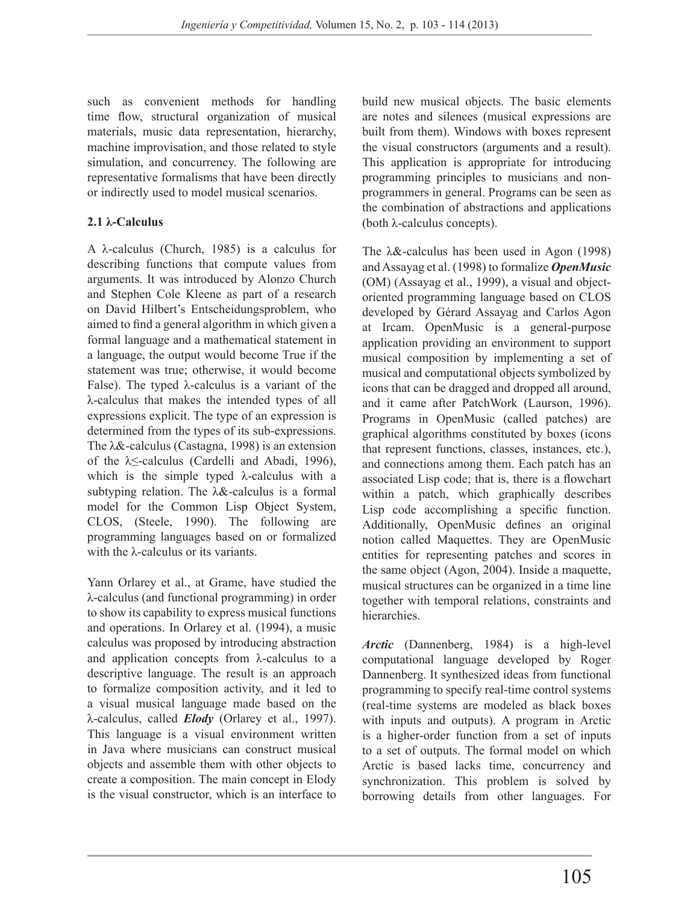such as convenient methods for handling time flow, structural organization of musical materials, music data representation, hierarchy, machine improvisation, and those related to style simulation, and concurrency. The following are representative formalisms that have been directly or indirectly used to model musical scenarios.

### **2.1 λ-Calculus**

A λ-calculus (Church, 1985) is a calculus for describing functions that compute values from arguments. It was introduced by Alonzo Church and Stephen Cole Kleene as part of a research on David Hilbert's Entscheidungsproblem, who aimed to find a general algorithm in which given a formal language and a mathematical statement in a language, the output would become True if the statement was true; otherwise, it would become False). The typed  $\lambda$ -calculus is a variant of the λ-calculus that makes the intended types of all expressions explicit. The type of an expression is determined from the types of its sub-expressions. The λ&-calculus (Castagna, 1998) is an extension of the λ≤-calculus (Cardelli and Abadi, 1996), which is the simple typed λ-calculus with a subtyping relation. The λ&-calculus is a formal model for the Common Lisp Object System, CLOS, (Steele, 1990). The following are programming languages based on or formalized with the λ-calculus or its variants.

Yann Orlarey et al., at Grame, have studied the λ-calculus (and functional programming) in order to show its capability to express musical functions and operations. In Orlarey et al. (1994), a music calculus was proposed by introducing abstraction and application concepts from  $\lambda$ -calculus to a descriptive language. The result is an approach to formalize composition activity, and it led to a visual musical language made based on the λ-calculus, called *Elody* (Orlarey et al., 1997). This language is a visual environment written in Java where musicians can construct musical objects and assemble them with other objects to create a composition. The main concept in Elody is the visual constructor, which is an interface to build new musical objects. The basic elements are notes and silences (musical expressions are built from them). Windows with boxes represent the visual constructors (arguments and a result). This application is appropriate for introducing programming principles to musicians and nonprogrammers in general. Programs can be seen as the combination of abstractions and applications (both λ-calculus concepts).

The λ&-calculus has been used in Agon (1998) and Assayag et al. (1998) to formalize *OpenMusic* (OM) (Assayag et al., 1999), a visual and objectoriented programming language based on CLOS developed by Gérard Assayag and Carlos Agon at Ircam. OpenMusic is a general-purpose application providing an environment to support musical composition by implementing a set of musical and computational objects symbolized by icons that can be dragged and dropped all around, and it came after PatchWork (Laurson, 1996). Programs in OpenMusic (called patches) are graphical algorithms constituted by boxes (icons that represent functions, classes, instances, etc.), and connections among them. Each patch has an associated Lisp code; that is, there is a flowchart within a patch, which graphically describes Lisp code accomplishing a specific function. Additionally, OpenMusic defines an original notion called Maquettes. They are OpenMusic entities for representing patches and scores in the same object (Agon, 2004). Inside a maquette, musical structures can be organized in a time line together with temporal relations, constraints and hierarchies.

*Arctic* (Dannenberg, 1984) is a high-level computational language developed by Roger Dannenberg. It synthesized ideas from functional programming to specify real-time control systems (real-time systems are modeled as black boxes with inputs and outputs). A program in Arctic is a higher-order function from a set of inputs to a set of outputs. The formal model on which Arctic is based lacks time, concurrency and synchronization. This problem is solved by borrowing details from other languages. For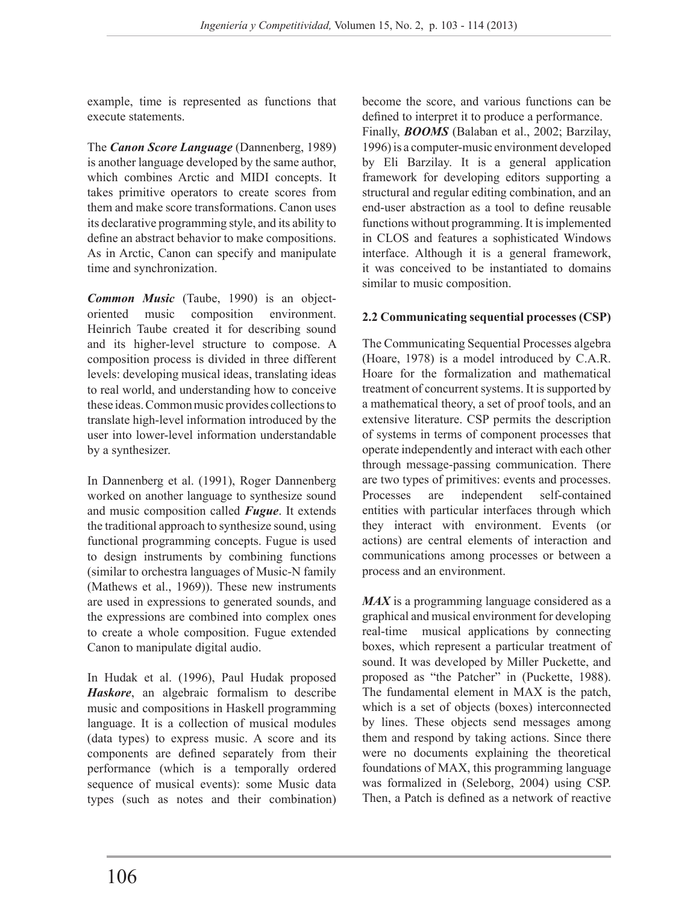example, time is represented as functions that execute statements.

The *Canon Score Language* (Dannenberg, 1989) is another language developed by the same author, which combines Arctic and MIDI concepts. It takes primitive operators to create scores from them and make score transformations. Canon uses its declarative programming style, and its ability to define an abstract behavior to make compositions. As in Arctic, Canon can specify and manipulate time and synchronization.

*Common Music* (Taube, 1990) is an objectoriented music composition environment. Heinrich Taube created it for describing sound and its higher-level structure to compose. A composition process is divided in three different levels: developing musical ideas, translating ideas to real world, and understanding how to conceive these ideas. Common music provides collections to translate high-level information introduced by the user into lower-level information understandable by a synthesizer.

In Dannenberg et al. (1991), Roger Dannenberg worked on another language to synthesize sound and music composition called *Fugue*. It extends the traditional approach to synthesize sound, using functional programming concepts. Fugue is used to design instruments by combining functions (similar to orchestra languages of Music-N family (Mathews et al., 1969)). These new instruments are used in expressions to generated sounds, and the expressions are combined into complex ones to create a whole composition. Fugue extended Canon to manipulate digital audio.

In Hudak et al. (1996), Paul Hudak proposed *Haskore*, an algebraic formalism to describe music and compositions in Haskell programming language. It is a collection of musical modules (data types) to express music. A score and its components are defined separately from their performance (which is a temporally ordered sequence of musical events): some Music data types (such as notes and their combination) become the score, and various functions can be defined to interpret it to produce a performance. Finally, *BOOMS* (Balaban et al., 2002; Barzilay, 1996) is a computer-music environment developed by Eli Barzilay. It is a general application framework for developing editors supporting a structural and regular editing combination, and an end-user abstraction as a tool to define reusable functions without programming. It is implemented in CLOS and features a sophisticated Windows interface. Although it is a general framework, it was conceived to be instantiated to domains similar to music composition.

#### **2.2 Communicating sequential processes (CSP)**

The Communicating Sequential Processes algebra (Hoare, 1978) is a model introduced by C.A.R. Hoare for the formalization and mathematical treatment of concurrent systems. It is supported by a mathematical theory, a set of proof tools, and an extensive literature. CSP permits the description of systems in terms of component processes that operate independently and interact with each other through message-passing communication. There are two types of primitives: events and processes. Processes are independent self-contained entities with particular interfaces through which they interact with environment. Events (or actions) are central elements of interaction and communications among processes or between a process and an environment.

*MAX* is a programming language considered as a graphical and musical environment for developing real-time musical applications by connecting boxes, which represent a particular treatment of sound. It was developed by Miller Puckette, and proposed as "the Patcher" in (Puckette, 1988). The fundamental element in MAX is the patch, which is a set of objects (boxes) interconnected by lines. These objects send messages among them and respond by taking actions. Since there were no documents explaining the theoretical foundations of MAX, this programming language was formalized in (Seleborg, 2004) using CSP. Then, a Patch is defined as a network of reactive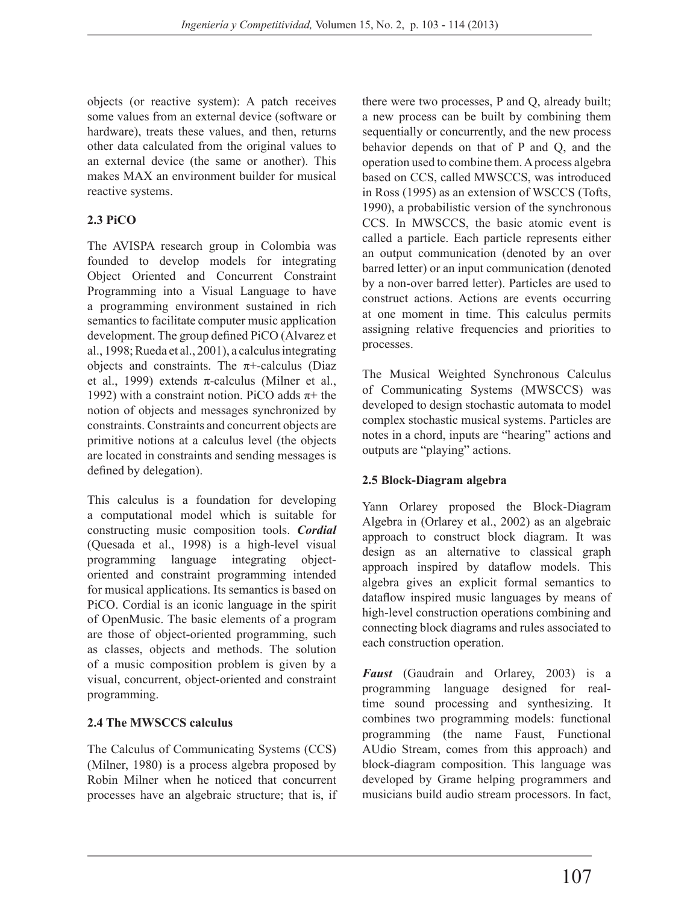objects (or reactive system): A patch receives some values from an external device (software or hardware), treats these values, and then, returns other data calculated from the original values to an external device (the same or another). This makes MAX an environment builder for musical reactive systems.

## **2.3 PiCO**

The AVISPA research group in Colombia was founded to develop models for integrating Object Oriented and Concurrent Constraint Programming into a Visual Language to have a programming environment sustained in rich semantics to facilitate computer music application development. The group defined PiCO (Alvarez et al., 1998; Rueda et al., 2001), a calculus integrating objects and constraints. The  $\pi$ +-calculus (Diaz et al., 1999) extends π-calculus (Milner et al., 1992) with a constraint notion. PiCO adds  $\pi$ + the notion of objects and messages synchronized by constraints. Constraints and concurrent objects are primitive notions at a calculus level (the objects are located in constraints and sending messages is defined by delegation).

This calculus is a foundation for developing a computational model which is suitable for constructing music composition tools. *Cordial* (Quesada et al., 1998) is a high-level visual programming language integrating objectoriented and constraint programming intended for musical applications. Its semantics is based on PiCO. Cordial is an iconic language in the spirit of OpenMusic. The basic elements of a program are those of object-oriented programming, such as classes, objects and methods. The solution of a music composition problem is given by a visual, concurrent, object-oriented and constraint programming.

#### **2.4 The MWSCCS calculus**

The Calculus of Communicating Systems (CCS) (Milner, 1980) is a process algebra proposed by Robin Milner when he noticed that concurrent processes have an algebraic structure; that is, if

there were two processes, P and Q, already built; a new process can be built by combining them sequentially or concurrently, and the new process behavior depends on that of P and Q, and the operation used to combine them. A process algebra based on CCS, called MWSCCS, was introduced in Ross (1995) as an extension of WSCCS (Tofts, 1990), a probabilistic version of the synchronous CCS. In MWSCCS, the basic atomic event is called a particle. Each particle represents either an output communication (denoted by an over barred letter) or an input communication (denoted by a non-over barred letter). Particles are used to construct actions. Actions are events occurring at one moment in time. This calculus permits assigning relative frequencies and priorities to processes.

The Musical Weighted Synchronous Calculus of Communicating Systems (MWSCCS) was developed to design stochastic automata to model complex stochastic musical systems. Particles are notes in a chord, inputs are "hearing" actions and outputs are "playing" actions.

#### **2.5 Block-Diagram algebra**

Yann Orlarey proposed the Block-Diagram Algebra in (Orlarey et al., 2002) as an algebraic approach to construct block diagram. It was design as an alternative to classical graph approach inspired by dataflow models. This algebra gives an explicit formal semantics to dataflow inspired music languages by means of high-level construction operations combining and connecting block diagrams and rules associated to each construction operation.

*Faust* (Gaudrain and Orlarey, 2003) is a programming language designed for realtime sound processing and synthesizing. It combines two programming models: functional programming (the name Faust, Functional AUdio Stream, comes from this approach) and block-diagram composition. This language was developed by Grame helping programmers and musicians build audio stream processors. In fact,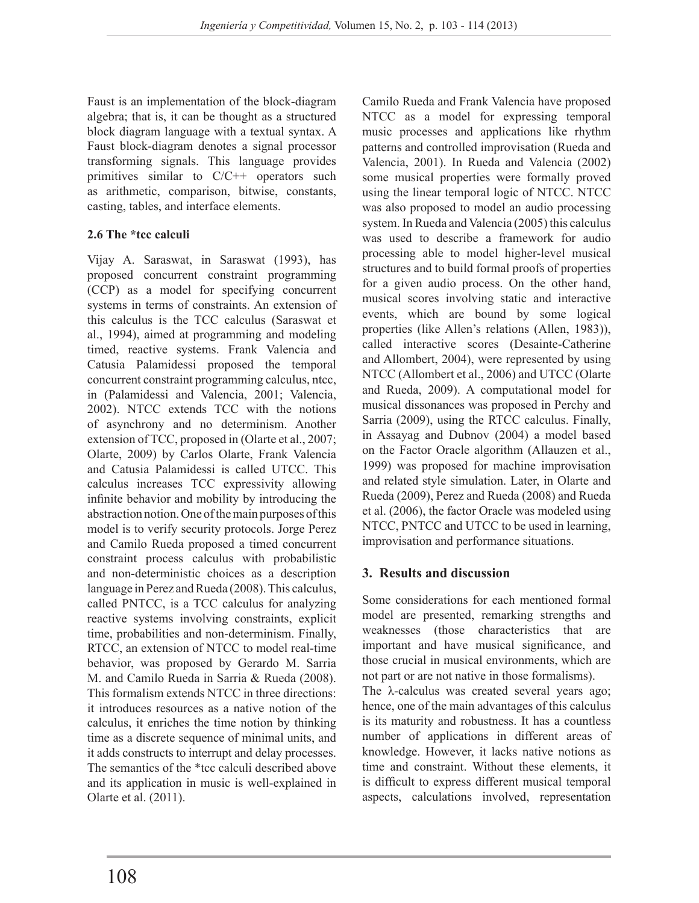Faust is an implementation of the block-diagram algebra; that is, it can be thought as a structured block diagram language with a textual syntax. A Faust block-diagram denotes a signal processor transforming signals. This language provides primitives similar to C/C++ operators such as arithmetic, comparison, bitwise, constants, casting, tables, and interface elements.

#### **2.6 The \*tcc calculi**

Vijay A. Saraswat, in Saraswat (1993), has proposed concurrent constraint programming (CCP) as a model for specifying concurrent systems in terms of constraints. An extension of this calculus is the TCC calculus (Saraswat et al., 1994), aimed at programming and modeling timed, reactive systems. Frank Valencia and Catusia Palamidessi proposed the temporal concurrent constraint programming calculus, ntcc, in (Palamidessi and Valencia, 2001; Valencia, 2002). NTCC extends TCC with the notions of asynchrony and no determinism. Another extension of TCC, proposed in (Olarte et al., 2007; Olarte, 2009) by Carlos Olarte, Frank Valencia and Catusia Palamidessi is called UTCC. This calculus increases TCC expressivity allowing infinite behavior and mobility by introducing the abstraction notion. One of the main purposes of this model is to verify security protocols. Jorge Perez and Camilo Rueda proposed a timed concurrent constraint process calculus with probabilistic and non-deterministic choices as a description language in Perez and Rueda (2008). This calculus, called PNTCC, is a TCC calculus for analyzing reactive systems involving constraints, explicit time, probabilities and non-determinism. Finally, RTCC, an extension of NTCC to model real-time behavior, was proposed by Gerardo M. Sarria M. and Camilo Rueda in Sarria & Rueda (2008). This formalism extends NTCC in three directions: it introduces resources as a native notion of the calculus, it enriches the time notion by thinking time as a discrete sequence of minimal units, and it adds constructs to interrupt and delay processes. The semantics of the \*tcc calculi described above and its application in music is well-explained in Olarte et al. (2011).

Camilo Rueda and Frank Valencia have proposed NTCC as a model for expressing temporal music processes and applications like rhythm patterns and controlled improvisation (Rueda and Valencia, 2001). In Rueda and Valencia (2002) some musical properties were formally proved using the linear temporal logic of NTCC. NTCC was also proposed to model an audio processing system. In Rueda and Valencia (2005) this calculus was used to describe a framework for audio processing able to model higher-level musical structures and to build formal proofs of properties for a given audio process. On the other hand, musical scores involving static and interactive events, which are bound by some logical properties (like Allen's relations (Allen, 1983)), called interactive scores (Desainte-Catherine and Allombert, 2004), were represented by using NTCC (Allombert et al., 2006) and UTCC (Olarte and Rueda, 2009). A computational model for musical dissonances was proposed in Perchy and Sarria (2009), using the RTCC calculus. Finally, in Assayag and Dubnov (2004) a model based on the Factor Oracle algorithm (Allauzen et al., 1999) was proposed for machine improvisation and related style simulation. Later, in Olarte and Rueda (2009), Perez and Rueda (2008) and Rueda et al. (2006), the factor Oracle was modeled using NTCC, PNTCC and UTCC to be used in learning, improvisation and performance situations.

## **3. Results and discussion**

Some considerations for each mentioned formal model are presented, remarking strengths and weaknesses (those characteristics that are important and have musical significance, and those crucial in musical environments, which are not part or are not native in those formalisms).

The λ-calculus was created several years ago; hence, one of the main advantages of this calculus is its maturity and robustness. It has a countless number of applications in different areas of knowledge. However, it lacks native notions as time and constraint. Without these elements, it is difficult to express different musical temporal aspects, calculations involved, representation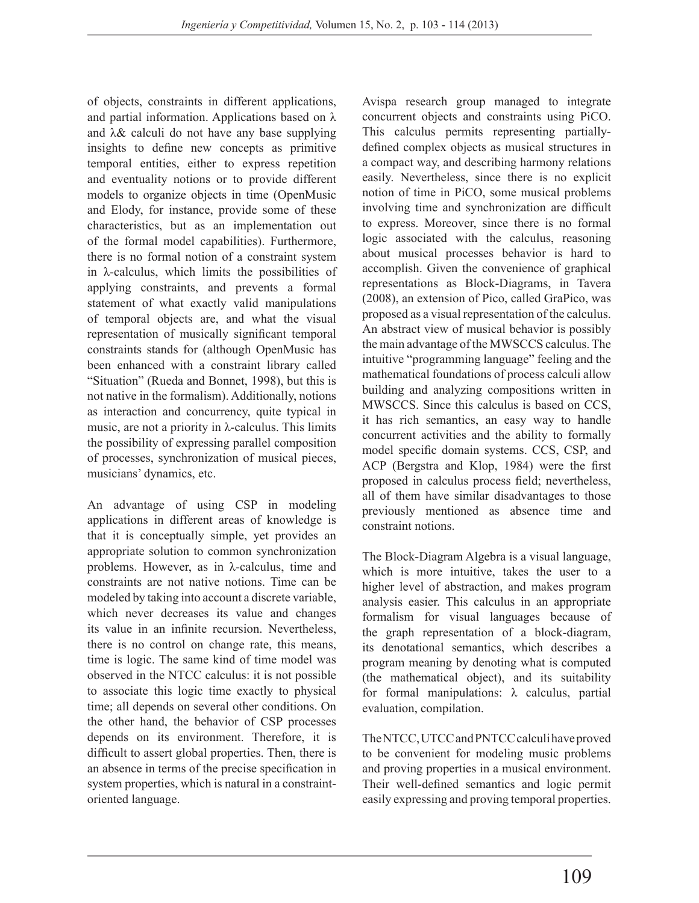of objects, constraints in different applications, and partial information. Applications based on  $\lambda$ and  $\lambda$ & calculi do not have any base supplying insights to define new concepts as primitive temporal entities, either to express repetition and eventuality notions or to provide different models to organize objects in time (OpenMusic and Elody, for instance, provide some of these characteristics, but as an implementation out of the formal model capabilities). Furthermore, there is no formal notion of a constraint system in  $\lambda$ -calculus, which limits the possibilities of applying constraints, and prevents a formal statement of what exactly valid manipulations of temporal objects are, and what the visual representation of musically significant temporal constraints stands for (although OpenMusic has been enhanced with a constraint library called "Situation" (Rueda and Bonnet, 1998), but this is not native in the formalism). Additionally, notions as interaction and concurrency, quite typical in music, are not a priority in λ-calculus. This limits the possibility of expressing parallel composition of processes, synchronization of musical pieces, musicians' dynamics, etc.

An advantage of using CSP in modeling applications in different areas of knowledge is that it is conceptually simple, yet provides an appropriate solution to common synchronization problems. However, as in λ-calculus, time and constraints are not native notions. Time can be modeled by taking into account a discrete variable, which never decreases its value and changes its value in an infinite recursion. Nevertheless, there is no control on change rate, this means, time is logic. The same kind of time model was observed in the NTCC calculus: it is not possible to associate this logic time exactly to physical time; all depends on several other conditions. On the other hand, the behavior of CSP processes depends on its environment. Therefore, it is difficult to assert global properties. Then, there is an absence in terms of the precise specification in system properties, which is natural in a constraintoriented language.

Avispa research group managed to integrate concurrent objects and constraints using PiCO. This calculus permits representing partiallydefined complex objects as musical structures in a compact way, and describing harmony relations easily. Nevertheless, since there is no explicit notion of time in PiCO, some musical problems involving time and synchronization are difficult to express. Moreover, since there is no formal logic associated with the calculus, reasoning about musical processes behavior is hard to accomplish. Given the convenience of graphical representations as Block-Diagrams, in Tavera (2008), an extension of Pico, called GraPico, was proposed as a visual representation of the calculus. An abstract view of musical behavior is possibly the main advantage of the MWSCCS calculus. The intuitive "programming language" feeling and the mathematical foundations of process calculi allow building and analyzing compositions written in MWSCCS. Since this calculus is based on CCS, it has rich semantics, an easy way to handle concurrent activities and the ability to formally model specific domain systems. CCS, CSP, and ACP (Bergstra and Klop, 1984) were the first proposed in calculus process field; nevertheless, all of them have similar disadvantages to those previously mentioned as absence time and constraint notions.

The Block-Diagram Algebra is a visual language, which is more intuitive, takes the user to a higher level of abstraction, and makes program analysis easier. This calculus in an appropriate formalism for visual languages because of the graph representation of a block-diagram, its denotational semantics, which describes a program meaning by denoting what is computed (the mathematical object), and its suitability for formal manipulations: λ calculus, partial evaluation, compilation.

The NTCC, UTCC and PNTCC calculi have proved to be convenient for modeling music problems and proving properties in a musical environment. Their well-defined semantics and logic permit easily expressing and proving temporal properties.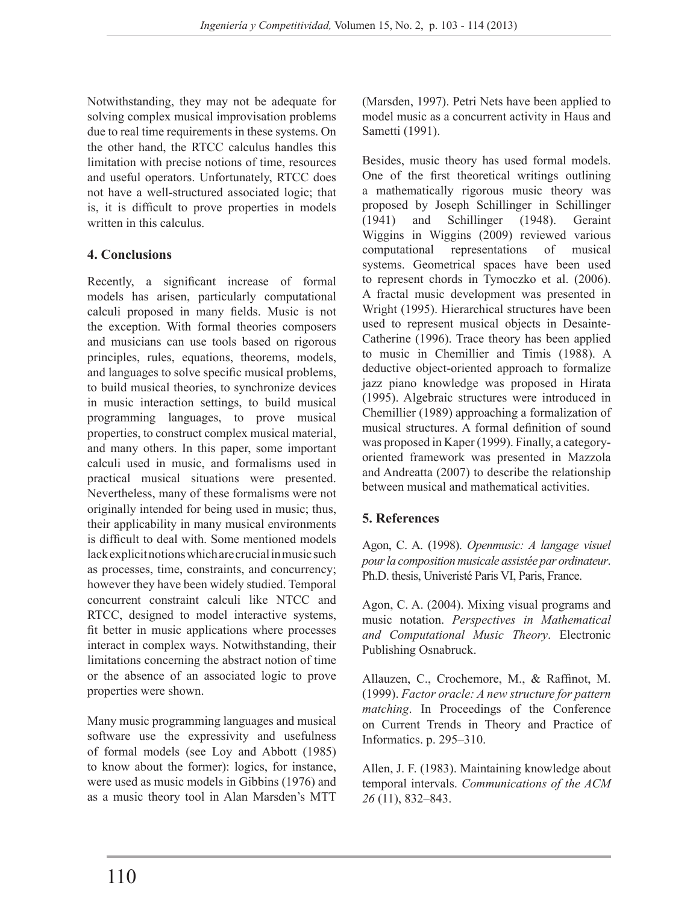Notwithstanding, they may not be adequate for solving complex musical improvisation problems due to real time requirements in these systems. On the other hand, the RTCC calculus handles this limitation with precise notions of time, resources and useful operators. Unfortunately, RTCC does not have a well-structured associated logic; that is, it is difficult to prove properties in models written in this calculus.

# **4. Conclusions**

Recently, a significant increase of formal models has arisen, particularly computational calculi proposed in many fields. Music is not the exception. With formal theories composers and musicians can use tools based on rigorous principles, rules, equations, theorems, models, and languages to solve specific musical problems, to build musical theories, to synchronize devices in music interaction settings, to build musical programming languages, to prove musical properties, to construct complex musical material, and many others. In this paper, some important calculi used in music, and formalisms used in practical musical situations were presented. Nevertheless, many of these formalisms were not originally intended for being used in music; thus, their applicability in many musical environments is difficult to deal with. Some mentioned models lack explicit notions which are crucial in music such as processes, time, constraints, and concurrency; however they have been widely studied. Temporal concurrent constraint calculi like NTCC and RTCC, designed to model interactive systems, fit better in music applications where processes interact in complex ways. Notwithstanding, their limitations concerning the abstract notion of time or the absence of an associated logic to prove properties were shown.

Many music programming languages and musical software use the expressivity and usefulness of formal models (see Loy and Abbott (1985) to know about the former): logics, for instance, were used as music models in Gibbins (1976) and as a music theory tool in Alan Marsden's MTT

(Marsden, 1997). Petri Nets have been applied to model music as a concurrent activity in Haus and Sametti (1991).

Besides, music theory has used formal models. One of the first theoretical writings outlining a mathematically rigorous music theory was proposed by Joseph Schillinger in Schillinger (1941) and Schillinger (1948). Geraint Wiggins in Wiggins (2009) reviewed various computational representations of musical systems. Geometrical spaces have been used to represent chords in Tymoczko et al. (2006). A fractal music development was presented in Wright (1995). Hierarchical structures have been used to represent musical objects in Desainte-Catherine (1996). Trace theory has been applied to music in Chemillier and Timis (1988). A deductive object-oriented approach to formalize jazz piano knowledge was proposed in Hirata (1995). Algebraic structures were introduced in Chemillier (1989) approaching a formalization of musical structures. A formal definition of sound was proposed in Kaper (1999). Finally, a categoryoriented framework was presented in Mazzola and Andreatta (2007) to describe the relationship between musical and mathematical activities.

## **5. References**

Agon, C. A. (1998). *Openmusic: A langage visuel pour la composition musicale assistée par ordinateur*. Ph.D. thesis, Univeristé Paris VI, Paris, France.

Agon, C. A. (2004). Mixing visual programs and music notation. *Perspectives in Mathematical and Computational Music Theory*. Electronic Publishing Osnabruck.

Allauzen, C., Crochemore, M., & Raffinot, M. (1999). *Factor oracle: A new structure for pattern matching*. In Proceedings of the Conference on Current Trends in Theory and Practice of Informatics. p. 295–310.

Allen, J. F. (1983). Maintaining knowledge about temporal intervals. *Communications of the ACM 26* (11), 832–843.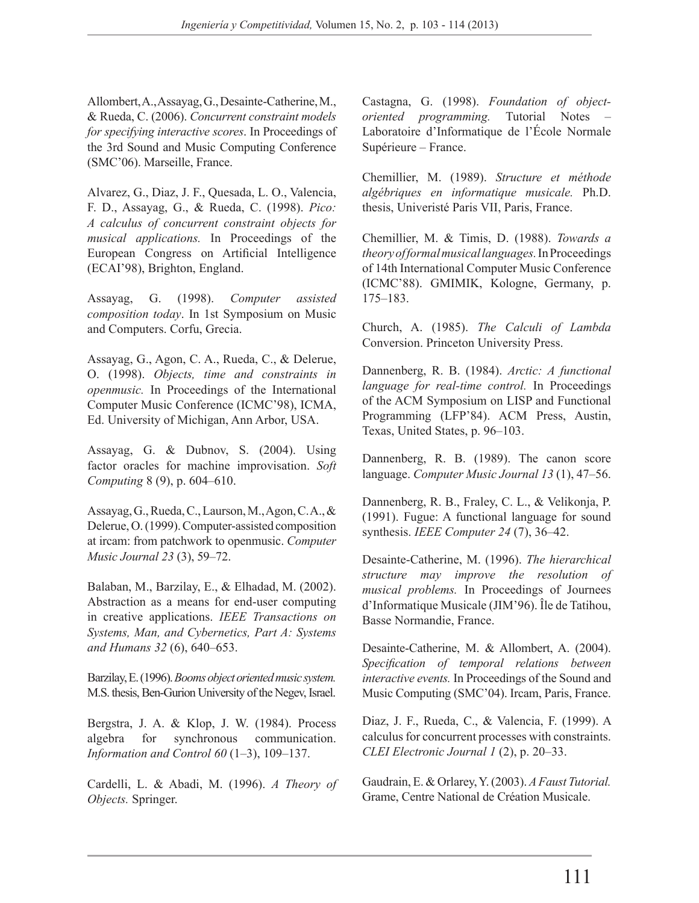Allombert, A., Assayag, G., Desainte-Catherine, M., & Rueda, C. (2006). *Concurrent constraint models for specifying interactive scores*. In Proceedings of the 3rd Sound and Music Computing Conference (SMC'06). Marseille, France.

Alvarez, G., Diaz, J. F., Quesada, L. O., Valencia, F. D., Assayag, G., & Rueda, C. (1998). *Pico: A calculus of concurrent constraint objects for musical applications.* In Proceedings of the European Congress on Artificial Intelligence (ECAI'98), Brighton, England.

Assayag, G. (1998). *Computer assisted composition today*. In 1st Symposium on Music and Computers. Corfu, Grecia.

Assayag, G., Agon, C. A., Rueda, C., & Delerue, O. (1998). *Objects, time and constraints in openmusic.* In Proceedings of the International Computer Music Conference (ICMC'98), ICMA, Ed. University of Michigan, Ann Arbor, USA.

Assayag, G. & Dubnov, S. (2004). Using factor oracles for machine improvisation. Soft *Computing* 8 (9), p. 604–610.

Assayag, G., Rueda, C., Laurson, M., Agon, C. A., & Delerue, O. (1999). Computer-assisted composition at ircam: from patchwork to openmusic. *Computer Music Journal 23* (3), 59–72.

Balaban, M., Barzilay, E., & Elhadad, M. (2002). Abstraction as a means for end-user computing in creative applications. *IEEE Transactions on Systems, Man, and Cybernetics, Part A: Systems and Humans 32* (6), 640–653.

Barzilay, E. (1996). *Booms object oriented music system.* M.S. thesis, Ben-Gurion University of the Negev, Israel.

Bergstra, J. A. & Klop, J. W. (1984). Process algebra for synchronous communication. *Information and Control 60* (1–3), 109–137.

Cardelli, L. & Abadi, M. (1996). *A Theory of Objects.* Springer.

Castagna, G. (1998). *Foundation of objectoriented programming.* Tutorial Notes – Laboratoire d'Informatique de l'École Normale Supérieure – France.

Chemillier, M. (1989). *Structure et méthode algébriques en informatique musicale.* Ph.D. thesis, Univeristé Paris VII, Paris, France.

Chemillier, M. & Timis, D. (1988). *Towards a theory of formal musical languages.* In Proceedings of 14th International Computer Music Conference (ICMC'88). GMIMIK, Kologne, Germany, p. 175–183.

Church, A. (1985). *The Calculi of Lambda*  Conversion. Princeton University Press.

Dannenberg, R. B. (1984). *Arctic: A functional language for real-time control.* In Proceedings of the ACM Symposium on LISP and Functional Programming (LFP'84). ACM Press, Austin, Texas, United States, p. 96–103.

Dannenberg, R. B. (1989). The canon score language. *Computer Music Journal 13* (1), 47–56.

Dannenberg, R. B., Fraley, C. L., & Velikonja, P. (1991). Fugue: A functional language for sound synthesis. *IEEE Computer 24* (7), 36–42.

Desainte-Catherine, M. (1996). *The hierarchical structure may improve the resolution of musical problems.* In Proceedings of Journees d'Informatique Musicale (JIM'96). Île de Tatihou, Basse Normandie, France.

Desainte-Catherine, M. & Allombert, A. (2004). *Specification of temporal relations between interactive events.* In Proceedings of the Sound and Music Computing (SMC'04). Ircam, Paris, France.

Diaz, J. F., Rueda, C., & Valencia, F. (1999). A calculus for concurrent processes with constraints. *CLEI Electronic Journal 1* (2), p. 20–33.

Gaudrain, E. & Orlarey, Y. (2003). *A Faust Tutorial.*  Grame, Centre National de Création Musicale.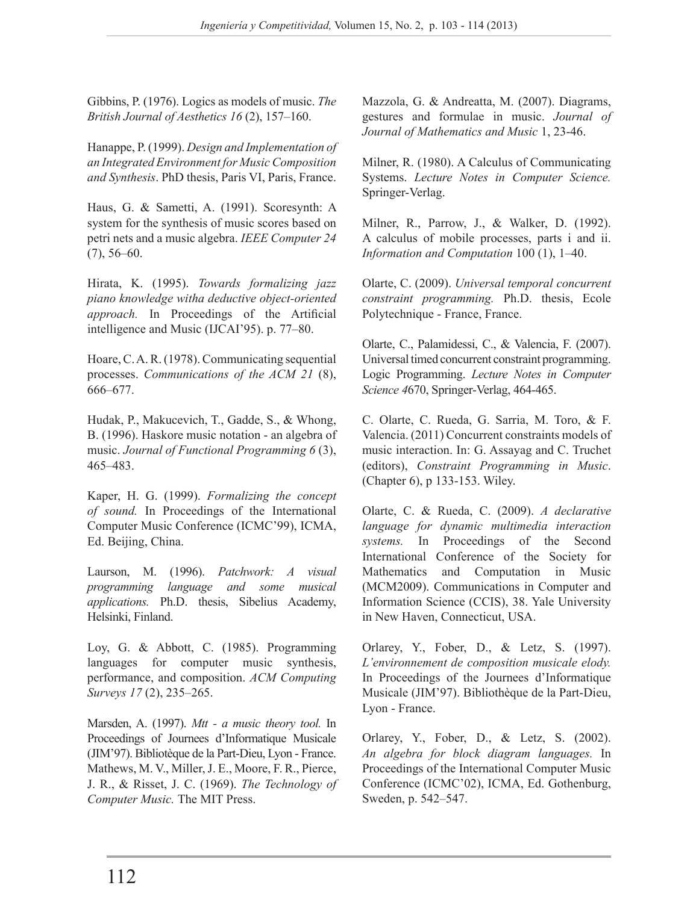Gibbins, P. (1976). Logics as models of music. *The British Journal of Aesthetics 16* (2), 157–160.

Hanappe, P. (1999). *Design and Implementation of an Integrated Environment for Music Composition and Synthesis*. PhD thesis, Paris VI, Paris, France.

Haus, G. & Sametti, A. (1991). Scoresynth: A system for the synthesis of music scores based on petri nets and a music algebra. *IEEE Computer 24*  $(7)$ , 56–60.

Hirata, K. (1995). *Towards formalizing jazz piano knowledge witha deductive object-oriented approach.* In Proceedings of the Artificial intelligence and Music (IJCAI'95). p. 77–80.

Hoare, C. A. R. (1978). Communicating sequential processes. *Communications of the ACM 21* (8), 666–677.

Hudak, P., Makucevich, T., Gadde, S., & Whong, B. (1996). Haskore music notation - an algebra of music. *Journal of Functional Programming 6* (3), 465–483.

Kaper, H. G. (1999). *Formalizing the concept of sound.* In Proceedings of the International Computer Music Conference (ICMC'99), ICMA, Ed. Beijing, China.

Laurson, M. (1996). *Patchwork: A visual programming language and some musical applications.* Ph.D. thesis, Sibelius Academy, Helsinki, Finland.

Loy, G. & Abbott, C. (1985). Programming languages for computer music synthesis, performance, and composition. *ACM Computing Surveys 17* (2), 235–265.

Marsden, A. (1997). *Mtt - a music theory tool.* In Proceedings of Journees d'Informatique Musicale (JIM'97). Bibliotèque de la Part-Dieu, Lyon - France. Mathews, M. V., Miller, J. E., Moore, F. R., Pierce, J. R., & Risset, J. C. (1969). *The Technology of Computer Music.* The MIT Press.

Mazzola, G. & Andreatta, M. (2007). Diagrams, gestures and formulae in music. *Journal of Journal of Mathematics and Music* 1, 23-46.

Milner, R. (1980). A Calculus of Communicating Systems. *Lecture Notes in Computer Science.* Springer-Verlag.

Milner, R., Parrow, J., & Walker, D. (1992). A calculus of mobile processes, parts i and ii. *Information and Computation* 100 (1), 1–40.

Olarte, C. (2009). *Universal temporal concurrent constraint programming.* Ph.D. thesis, Ecole Polytechnique - France, France.

Olarte, C., Palamidessi, C., & Valencia, F. (2007). Universal timed concurrent constraint programming. Logic Programming. *Lecture Notes in Computer Science 4*670, Springer-Verlag, 464-465.

C. Olarte, C. Rueda, G. Sarria, M. Toro, & F. Valencia. (2011) Concurrent constraints models of music interaction. In: G. Assayag and C. Truchet (editors), *Constraint Programming in Music*. (Chapter 6), p 133-153. Wiley.

Olarte, C. & Rueda, C. (2009). *A declarative language for dynamic multimedia interaction systems.* In Proceedings of the Second International Conference of the Society for Mathematics and Computation in Music (MCM2009). Communications in Computer and Information Science (CCIS), 38. Yale University in New Haven, Connecticut, USA.

Orlarey, Y., Fober, D., & Letz, S. (1997). *L'environnement de composition musicale elody.*  In Proceedings of the Journees d'Informatique Musicale (JIM'97). Bibliothèque de la Part-Dieu, Lyon - France.

Orlarey, Y., Fober, D., & Letz, S. (2002). *An algebra for block diagram languages.* In Proceedings of the International Computer Music Conference (ICMC'02), ICMA, Ed. Gothenburg, Sweden, p. 542–547.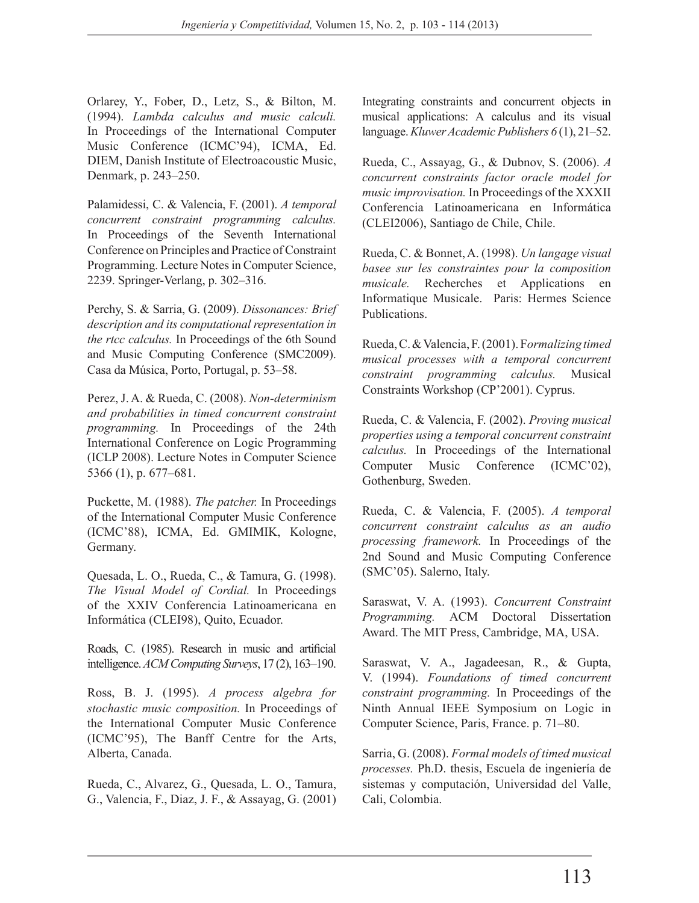Orlarey, Y., Fober, D., Letz, S., & Bilton, M. (1994). *Lambda calculus and music calculi.*  In Proceedings of the International Computer Music Conference (ICMC'94), ICMA, Ed. DIEM, Danish Institute of Electroacoustic Music, Denmark, p. 243–250.

Palamidessi, C. & Valencia, F. (2001). *A temporal concurrent constraint programming calculus.*  In Proceedings of the Seventh International Conference on Principles and Practice of Constraint Programming. Lecture Notes in Computer Science, 2239. Springer-Verlang, p. 302–316.

Perchy, S. & Sarria, G. (2009). *Dissonances: Brief description and its computational representation in the rtcc calculus.* In Proceedings of the 6th Sound and Music Computing Conference (SMC2009). Casa da Música, Porto, Portugal, p. 53–58.

Perez, J. A. & Rueda, C. (2008). *Non-determinism and probabilities in timed concurrent constraint programming.* In Proceedings of the 24th International Conference on Logic Programming (ICLP 2008). Lecture Notes in Computer Science 5366 (1), p. 677–681.

Puckette, M. (1988). *The patcher.* In Proceedings of the International Computer Music Conference (ICMC'88), ICMA, Ed. GMIMIK, Kologne, Germany.

Quesada, L. O., Rueda, C., & Tamura, G. (1998). *The Visual Model of Cordial.* In Proceedings of the XXIV Conferencia Latinoamericana en Informática (CLEI98), Quito, Ecuador.

Roads, C. (1985). Research in music and artificial intelligence. *ACM Computing Surveys*, 17 (2), 163–190.

Ross, B. J. (1995). *A process algebra for stochastic music composition.* In Proceedings of the International Computer Music Conference (ICMC'95), The Banff Centre for the Arts, Alberta, Canada.

Rueda, C., Alvarez, G., Quesada, L. O., Tamura, G., Valencia, F., Diaz, J. F., & Assayag, G. (2001) Integrating constraints and concurrent objects in musical applications: A calculus and its visual language. *Kluwer Academic Publishers 6* (1), 21–52.

Rueda, C., Assayag, G., & Dubnov, S. (2006). *A concurrent constraints factor oracle model for music improvisation.* In Proceedings of the XXXII Conferencia Latinoamericana en Informática (CLEI2006), Santiago de Chile, Chile.

Rueda, C. & Bonnet, A. (1998). *Un langage visual basee sur les constraintes pour la composition musicale.* Recherches et Applications en Informatique Musicale. Paris: Hermes Science Publications.

Rueda, C. & Valencia, F. (2001). F*ormalizing timed musical processes with a temporal concurrent constraint programming calculus.* Musical Constraints Workshop (CP'2001). Cyprus.

Rueda, C. & Valencia, F. (2002). *Proving musical properties using a temporal concurrent constraint calculus.* In Proceedings of the International Computer Music Conference (ICMC'02), Gothenburg, Sweden.

Rueda, C. & Valencia, F. (2005). *A temporal concurrent constraint calculus as an audio processing framework.* In Proceedings of the 2nd Sound and Music Computing Conference (SMC'05). Salerno, Italy.

Saraswat, V. A. (1993). *Concurrent Constraint Programming.* ACM Doctoral Dissertation Award. The MIT Press, Cambridge, MA, USA.

Saraswat, V. A., Jagadeesan, R., & Gupta, V. (1994). *Foundations of timed concurrent constraint programming.* In Proceedings of the Ninth Annual IEEE Symposium on Logic in Computer Science, Paris, France. p. 71–80.

Sarria, G. (2008). *Formal models of timed musical processes.* Ph.D. thesis, Escuela de ingeniería de sistemas y computación, Universidad del Valle, Cali, Colombia.